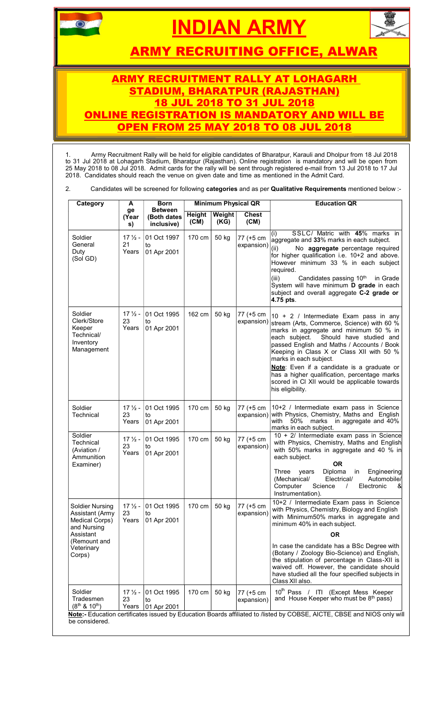# **AN ARMY**



ARMY RECRUITING OFFICE, ALWAR

## ARMY RECRUITMENT RALLY AT LOHAGARH DIUM. BHARATPUR (RAJASTHAN) 18 JUL 2018 TO 31 JUL 2018 ONLINE REGISTRATION IS MANDATORY AND WILL BE **OPEN FROM 25 MAY 2018 TO 08 JUL 2018**

1. Army Recruitment Rally will be held for eligible candidates of Bharatpur, Karauli and Dholpur from 18 Jul 2018 to 31 Jul 2018 at Lohagarh Stadium, Bharatpur (Rajasthan). Online registration is mandatory and will be open from 25 May 2018 to 08 Jul 2018. Admit cards for the rally will be sent through registered e-mail from 13 Jul 2018 to 17 Jul 2018. Candidates should reach the venue on given date and time as mentioned in the Admit Card.

2. Candidates will be screened for following categories and as per Qualitative Requirements mentioned below :-

| Category                                                                                                                 | A                                | <b>Born</b>                                        |                      |                       | <b>Minimum Physical QR</b>                 | <b>Education QR</b>                                                                                                                                                                                                                                                                                                                                                                                                                                                         |
|--------------------------------------------------------------------------------------------------------------------------|----------------------------------|----------------------------------------------------|----------------------|-----------------------|--------------------------------------------|-----------------------------------------------------------------------------------------------------------------------------------------------------------------------------------------------------------------------------------------------------------------------------------------------------------------------------------------------------------------------------------------------------------------------------------------------------------------------------|
|                                                                                                                          | ge<br>(Year<br>s)                | <b>Between</b><br>(Both dates<br>inclusive)        | Height<br>(CM)       | <b>Weight</b><br>(KG) | <b>Chest</b><br>(CM)                       |                                                                                                                                                                                                                                                                                                                                                                                                                                                                             |
| Soldier<br>General<br>Duty<br>(Sol GD)                                                                                   | $17\frac{1}{2}$ -<br>21<br>Years | 01 Oct 1997<br>to<br>01 Apr 2001                   | 170 cm               | 50 kg                 | 77 (+5 cm<br>$\exp(\text{exp}(i\text{i}))$ | SSLC/ Matric with 45% marks in<br>aggregate and 33% marks in each subject.<br>No aggregate percentage required<br>for higher qualification i.e. 10+2 and above.<br>However minimum 33 % in each subject<br>required.<br>(iii)<br>Candidates passing 10 <sup>th</sup> in Grade<br>System will have minimum D grade in each<br>subject and overall aggregate C-2 grade or<br>4.75 pts.                                                                                        |
| Soldier<br>Clerk/Store<br>Keeper<br>Technical/<br>Inventory<br>Management                                                | $17\frac{1}{2}$ -<br>23<br>Years | 01 Oct 1995<br>to<br>01 Apr 2001                   | 162 cm               | 50 kg                 | 77 (+5 cm                                  | $10 + 2$ / Intermediate Exam pass in any<br>expansion) stream (Arts, Commerce, Science) with 60 %<br>marks in aggregate and minimum 50 % in<br>each subject. Should have studied and<br>passed English and Maths / Accounts / Book<br>Keeping in Class X or Class XII with 50 %<br>marks in each subject.<br>Note: Even if a candidate is a graduate or<br>has a higher qualification, percentage marks<br>scored in CI XII would be applicable towards<br>his eligibility. |
| Soldier<br>Technical                                                                                                     | $17\frac{1}{2}$ -<br>23<br>Years | 01 Oct 1995<br>to<br>01 Apr 2001                   | 170 cm               | 50 kg                 | 77 (+5 cm<br>expansion)                    | 10+2 / Intermediate exam pass in Science<br>with Physics, Chemistry, Maths and English<br>with 50% marks in aggregate and 40%<br>marks in each subject.                                                                                                                                                                                                                                                                                                                     |
| Soldier<br>Technical<br>(Aviation /<br>Ammunition<br>Examiner)                                                           | $17\frac{1}{2}$ -<br>23<br>Years | 01 Oct 1995<br>to<br>01 Apr 2001                   | 170 cm               | 50 kg                 | 77 (+5 cm<br>expansion)                    | 10 + 2/ Intermediate exam pass in Science<br>with Physics, Chemistry, Maths and English<br>with 50% marks in aggregate and 40 % in<br>each subject.<br><b>OR</b><br>Diploma<br>Engineering<br>Three years<br>in in<br>Automobile/<br>(Mechanical/<br>Electrical/<br>Computer<br>Science<br>Electronic<br>&<br>$\prime$<br>Instrumentation).                                                                                                                                 |
| Soldier Nursing<br>Assistant (Army<br>Medical Corps)<br>and Nursing<br>Assistant<br>(Remount and<br>Veterinary<br>Corps) | 23<br>Years                      | $17\frac{1}{2}$ - 01 Oct 1995<br>to<br>01 Apr 2001 | 170 cm $\vert$ 50 kg |                       | 77 (+5 cm<br>expansion)                    | 10+2 / Intermediate Exam pass in Science<br>with Physics, Chemistry, Biology and English<br>with Minimum50% marks in aggregate and<br>minimum 40% in each subject.<br><b>OR</b><br>In case the candidate has a BSc Degree with<br>(Botany / Zoology Bio-Science) and English,                                                                                                                                                                                               |
|                                                                                                                          |                                  | 17 1/2 - 01 Oct 1995                               | 170 cm               | 50 kg                 | 77 (+5 cm                                  | waived off. However, the candidate should<br>have studied all the four specified subjects in<br>Class XII also.<br>10 <sup>th</sup> Pass / ITI (Except Mess Keeper                                                                                                                                                                                                                                                                                                          |
| Soldier<br>Tradesmen<br>$(8^{th}$ & 10 <sup>th</sup> )                                                                   | 23                               | to<br>Years 01 Apr 2001                            |                      |                       | expansion)                                 | the stipulation of percentage in Class-XII is<br>and House Keeper who must be 8 <sup>th</sup> pass)<br>Note:- Education certificates issued by Education Boards affiliated to /listed by COBSE, AICTE, CBSE and NIOS only will                                                                                                                                                                                                                                              |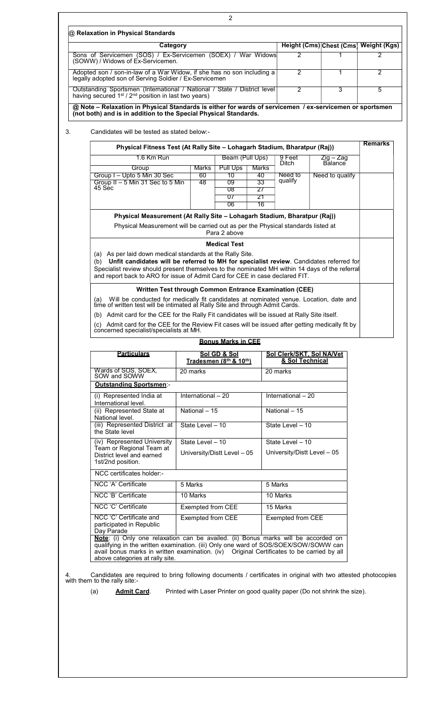| Category                                                                                                                                                                     |                                                                                                                                                                                                                                                                                                                                                                                 |                                                 | Height (Cms) Chest (Cms) Weight (Kgs) |                |
|------------------------------------------------------------------------------------------------------------------------------------------------------------------------------|---------------------------------------------------------------------------------------------------------------------------------------------------------------------------------------------------------------------------------------------------------------------------------------------------------------------------------------------------------------------------------|-------------------------------------------------|---------------------------------------|----------------|
| Sons of Servicemen (SOS) / Ex-Servicemen (SOEX) / War Widows<br>(SOWW) / Widows of Ex-Servicemen.                                                                            |                                                                                                                                                                                                                                                                                                                                                                                 | 2                                               |                                       | 2              |
| Adopted son / son-in-law of a War Widow, if she has no son including a<br>legally adopted son of Serving Soldier / Ex-Servicemen                                             |                                                                                                                                                                                                                                                                                                                                                                                 | 2                                               | 1                                     | $\overline{2}$ |
| Outstanding Sportsmen (International / National / State / District level<br>having secured 1 <sup>st</sup> / 2 <sup>nd</sup> position in last two years)                     |                                                                                                                                                                                                                                                                                                                                                                                 | 2                                               | 3                                     | 5              |
| @ Note - Relaxation in Physical Standards is either for wards of servicemen / ex-servicemen or sportsmen<br>(not both) and is in addition to the Special Physical Standards. |                                                                                                                                                                                                                                                                                                                                                                                 |                                                 |                                       |                |
| Candidates will be tested as stated below:-                                                                                                                                  |                                                                                                                                                                                                                                                                                                                                                                                 |                                                 |                                       |                |
|                                                                                                                                                                              | Physical Fitness Test (At Rally Site - Lohagarh Stadium, Bharatpur (Raj))                                                                                                                                                                                                                                                                                                       |                                                 |                                       | <b>Remarks</b> |
| 1.6 Km Run                                                                                                                                                                   | Beam (Pull Ups)                                                                                                                                                                                                                                                                                                                                                                 | 9 Feet<br>Ditch                                 | Zig – Zag<br>Balance                  |                |
| Group                                                                                                                                                                        | <b>Pull Ups</b><br>Marks                                                                                                                                                                                                                                                                                                                                                        | Marks                                           |                                       |                |
| Group I - Upto 5 Min 30 Sec<br>Group II - 5 Min 31 Sec to 5 Min<br>45 Sec                                                                                                    | 10<br>60<br>09<br>48<br>08                                                                                                                                                                                                                                                                                                                                                      | 40<br>Need to<br>qualify<br>33<br>27            | Need to qualify                       |                |
|                                                                                                                                                                              | 07<br>06                                                                                                                                                                                                                                                                                                                                                                        | 21<br>16                                        |                                       |                |
|                                                                                                                                                                              | Physical Measurement (At Rally Site - Lohagarh Stadium, Bharatpur (Raj))                                                                                                                                                                                                                                                                                                        |                                                 |                                       |                |
|                                                                                                                                                                              | Physical Measurement will be carried out as per the Physical standards listed at<br>Para 2 above                                                                                                                                                                                                                                                                                |                                                 |                                       |                |
|                                                                                                                                                                              | <b>Medical Test</b>                                                                                                                                                                                                                                                                                                                                                             |                                                 |                                       |                |
| (a) As per laid down medical standards at the Rally Site.<br>Specialist review should present themselves to the nominated MH within 14 days of the referral                  | (b) Unfit candidates will be referred to MH for specialist review. Candidates referred for                                                                                                                                                                                                                                                                                      |                                                 |                                       |                |
|                                                                                                                                                                              | and report back to ARO for issue of Admit Card for CEE in case declared FIT.<br>Written Test through Common Entrance Examination (CEE)                                                                                                                                                                                                                                          |                                                 |                                       |                |
| concerned specialist/specialists at MH.                                                                                                                                      | (a) Will be conducted for medically fit candidates at nominated venue. Location, date and<br>time of written test will be intimated at Rally Site and through Admit Cards.<br>(b) Admit card for the CEE for the Rally Fit candidates will be issued at Rally Site itself.<br>(c) Admit card for the CEE for the Review Fit cases will be issued after getting medically fit by |                                                 |                                       |                |
|                                                                                                                                                                              | <b>Bonus Marks in CEE</b>                                                                                                                                                                                                                                                                                                                                                       |                                                 |                                       |                |
| <b>Particulars</b>                                                                                                                                                           | Sol GD & Sol<br>Tradesmen (8th & 10th)                                                                                                                                                                                                                                                                                                                                          | Sol Clerk/SKT, Sol NA/Vet<br>& Sol Technical    |                                       |                |
| Wards of SOS, SOEX, SOW and SOWW                                                                                                                                             | 20 marks                                                                                                                                                                                                                                                                                                                                                                        | 20 marks                                        |                                       |                |
| <b>Outstanding Sportsmen-</b>                                                                                                                                                |                                                                                                                                                                                                                                                                                                                                                                                 |                                                 |                                       |                |
| (i) Represented India at<br>International level.                                                                                                                             | International - 20                                                                                                                                                                                                                                                                                                                                                              | International - 20                              |                                       |                |
| (ii) Represented State at<br>National level.                                                                                                                                 | National - 15                                                                                                                                                                                                                                                                                                                                                                   | National - 15                                   |                                       |                |
| (iii) Represented District at<br>the State level                                                                                                                             | State Level - 10                                                                                                                                                                                                                                                                                                                                                                | State Level - 10                                |                                       |                |
| (iv) Represented University<br>Team or Regional Team at<br>District level and earned<br>1st/2nd position.                                                                    | State Level - 10<br>University/Distt Level - 05                                                                                                                                                                                                                                                                                                                                 | State Level - 10<br>University/Distt Level - 05 |                                       |                |
| NCC certificates holder:-                                                                                                                                                    |                                                                                                                                                                                                                                                                                                                                                                                 |                                                 |                                       |                |
| NCC 'A' Certificate                                                                                                                                                          | 5 Marks                                                                                                                                                                                                                                                                                                                                                                         | 5 Marks                                         |                                       |                |
| NCC 'B' Certificate                                                                                                                                                          | 10 Marks                                                                                                                                                                                                                                                                                                                                                                        | 10 Marks                                        |                                       |                |
| NCC 'C' Certificate                                                                                                                                                          | Exempted from CEE                                                                                                                                                                                                                                                                                                                                                               | 15 Marks                                        |                                       |                |
| NCC 'C' Certificate and<br>participated in Republic<br>Day Parade                                                                                                            | Exempted from CEE<br>Note: (i) Only one relaxation can be availed. (ii) Bonus marks will be accorded on                                                                                                                                                                                                                                                                         | Exempted from CEE                               |                                       |                |

 $\overline{\phantom{a}}$ 

- 
- (a) **Admit Card**. Printed with Laser Printer on good quality paper (Do not shrink the size).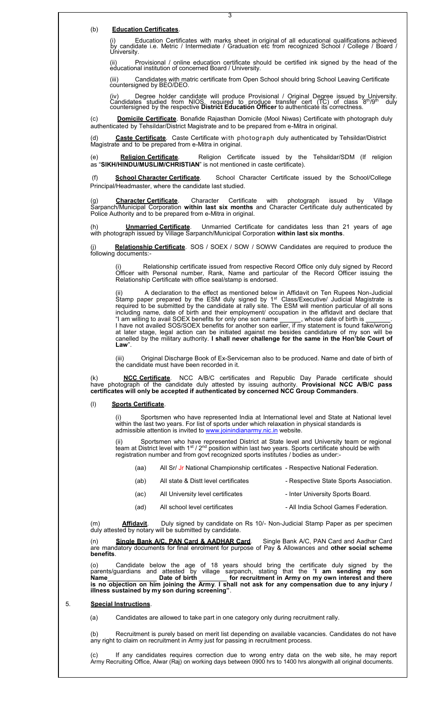### (b) Education Certificates.

 (i) Education Certificates with marks sheet in original of all educational qualifications achieved by candidate i.e. Metric / Intermediate / Graduation etc from recognized School / College / Board / University.

3

 (ii) Provisional / online education certificate should be certified ink signed by the head of the educational institution of concerned Board / University.

 (iii) Candidates with matric certificate from Open School should bring School Leaving Certificate countersigned by BEO/DEO.

(iv) Degree holder candidate will produce Provisional / Original Degree issued by University.<br>Candidates studied from NIOS, required to produce transfer cert (TC) of class 8<sup>th</sup>/9<sup>th</sup> duly<br>countersigned by the respective

(c) Domicile Certificate. Bonafide Rajasthan Domicile (Mool Niwas) Certificate with photograph duly authenticated by Tehsildar/District Magistrate and to be prepared from e-Mitra in original.

Caste Certificate. Caste Certificate with photograph duly authenticated by Tehsildar/District Magistrate and to be prepared from e-Mitra in original.

(e) Religion Certificate. Religion Certificate issued by the Tehsildar/SDM (If religion as "SIKH/HINDU/MUSLIM/CHRISTIAN" is not mentioned in caste certificate).

 (f) School Character Certificate. School Character Certificate issued by the School/College Principal/Headmaster, where the candidate last studied.

(g) **Character Certificate**. Character Certificate with photograph issued by Village Sarpanch/Municipal Corporation within last six months and Character Certificate duly authenticated by Police Authority and to be prepared from e-Mitra in original.

**Unmarried Certificate**. Unmarried Certificate for candidates less than 21 years of age with photograph issued by Village Sarpanch/Municipal Corporation within last six months.

Relationship Certificate. SOS / SOEX / SOW / SOWW Candidates are required to produce the (j)<br>following documents:-

Relationship certificate issued from respective Record Office only duly signed by Record Officer with Personal number, Rank, Name and particular of the Record Officer issuing the Relationship Certificate with office seal/stamp is endorsed.

(ii) A declaration to the effect as mentioned below in Affidavit on Ten Rupees Non-Judicial Stamp paper prepared by the ESM duly signed by  $1<sup>st</sup>$  Class/Executive/ Judicial Magistrate is required to be submitted by the candidate at rally site. The ESM will mention particular of all sons including name, date of birth and their employment/ occupation in the affidavit and declare that "I am willing to avail SOEX benefits for only one son name  $\_\_\_\$ , whose date of birth is  $\_\_\_\_\_\_\_\_\,.$ I have not availed SOS/SOEX benefits for another son earlier, if my statement is found fake/wrong at later stage, legal action can be initiated against me besides candidature of my son will be canelled by the military authority. I shall never challenge for the same in the Hon'ble Court of Law".

(iii) Original Discharge Book of Ex-Serviceman also to be produced. Name and date of birth of the candidate must have been recorded in it.

(k) **NCC Certificate**. NCC A/B/C certificates and Republic Day Parade certificate should have photograph of the candidate duly attested by issuing authority. **Provisional NCC A/B/C pass** certificates will only be accepted if authenticated by concerned NCC Group Commanders.

#### (l) Sports Certificate.

(i) Sportsmen who have represented India at International level and State at National level within the last two years. For list of sports under which relaxation in physical standards is admissible attention is invited to www.joinindianarmy.nic.in website.

(ii) Sportsmen who have represented District at State level and University team or regional team at District level with 1st / 2<sup>nd</sup> position within last two years. Sports certificate should be with registration number and from govt recognized sports institutes / bodies as under:-

- (aa) All Sr/ Jr National Championship certificates Respective National Federation.
- (ab) All state & Distt level certificates Respective State Sports Association.
- (ac) All University level certificates Inter University Sports Board.
- (ad) All school level certificates All India School Games Federation.

(m) **Affidavit**. Duly signed by candidate on Rs 10/- Non-Judicial Stamp Paper as per specimen duly attested by notary will be submitted by candidate.

(n) Single Bank A/C, PAN Card & AADHAR Card. Single Bank A/C, PAN Card and Aadhar Card are mandatory documents for final enrolment for purpose of Pay & Allowances and other social scheme benefits.

(o) Candidate below the age of 18 years should bring the certificate duly signed by the parents/guardians and attested by village sarpanch, stating that the "I am sending my son Name **Date of birth Form Construction** for recruitment in Army on my own interest and there is no objection on him joining the Army. I shall not ask for any compensation due to any injury / illness sustained by my son during screening".

#### 5. Special Instructions.

(a) Candidates are allowed to take part in one category only during recruitment rally.

(b) Recruitment is purely based on merit list depending on available vacancies. Candidates do not have any right to claim on recruitment in Army just for passing in recruitment process.

(c) If any candidates requires correction due to wrong entry data on the web site, he may report Army Recruiting Office, Alwar (Raj) on working days between 0900 hrs to 1400 hrs alongwith all original documents.